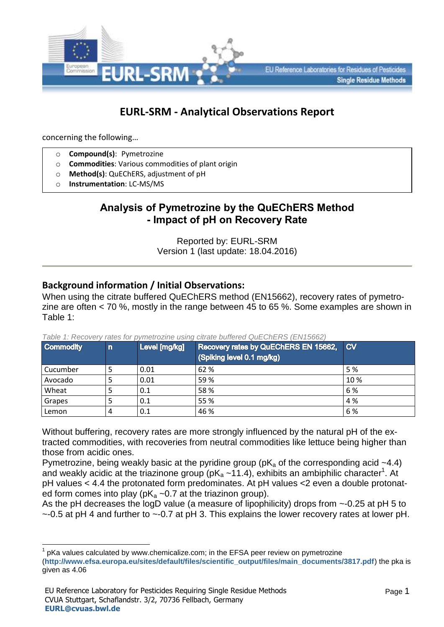

# **EURL-SRM - Analytical Observations Report**

concerning the following…

1

- o **Compound(s)**: Pymetrozine
- o **Commodities**: Various commodities of plant origin
- o **Method(s)**: QuEChERS, adjustment of pH
- o **Instrumentation**: LC-MS/MS

## **Analysis of Pymetrozine by the QuEChERS Method - Impact of pH on Recovery Rate**

Reported by: EURL-SRM Version 1 (last update: 18.04.2016)

## **Background information / Initial Observations:**

When using the citrate buffered QuEChERS method (EN15662), recovery rates of pymetrozine are often < 70 %, mostly in the range between 45 to 65 %. Some examples are shown in Table 1:

| <b>Commodity</b> | $\mathsf{n}$ | Level [mg/kg] | <b>Recovery rates by QuEChERS EN 15662, CV</b><br>(Spiking level 0.1 mg/kg) |     |
|------------------|--------------|---------------|-----------------------------------------------------------------------------|-----|
| Cucumber         |              | 0.01          | 62 %                                                                        | 5 % |
| Avocado          |              | 0.01          | 59%                                                                         | 10% |
| Wheat            |              | 0.1           | 58%                                                                         | 6 % |
| Grapes           |              | 0.1           | 55 %                                                                        | 4 % |
| Lemon            | 4            | 0.1           | 46 %                                                                        | 6%  |

*Table 1: Recovery rates for pymetrozine using citrate buffered QuEChERS (EN15662)*

Without buffering, recovery rates are more strongly influenced by the natural pH of the extracted commodities, with recoveries from neutral commodities like lettuce being higher than those from acidic ones.

Pymetrozine, being weakly basic at the pyridine group ( $pK_a$  of the corresponding acid  $\sim$ 4.4) and weakly acidic at the triazinone group (pK $_a$  ~11.4), exhibits an ambiphilic character<sup>1</sup>. At pH values < 4.4 the protonated form predominates. At pH values <2 even a double protonated form comes into play ( $pK_a \sim 0.7$  at the triazinon group).

As the pH decreases the logD value (a measure of lipophilicity) drops from  $\sim$ -0.25 at pH 5 to  $\sim$ -0.5 at pH 4 and further to  $\sim$ -0.7 at pH 3. This explains the lower recovery rates at lower pH.

<sup>1</sup> pKa values calculated by www.chemicalize.com; in the EFSA peer review on pymetrozine (**[http://www.efsa.europa.eu/sites/default/files/scientific\\_output/files/main\\_documents/3817.pdf](http://www.efsa.europa.eu/sites/default/files/scientific_output/files/main_documents/3817.pdf)**) the pka is given as 4.06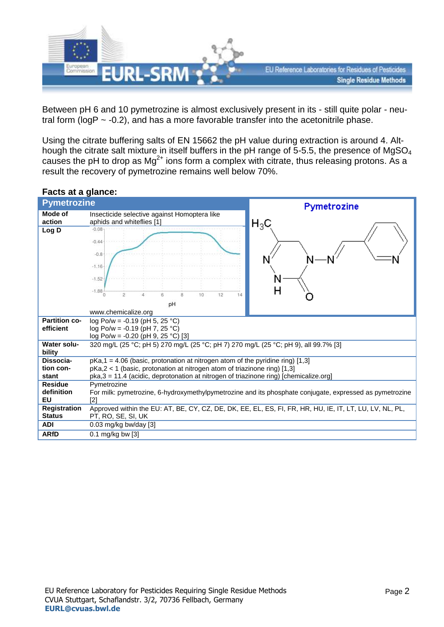

Between pH 6 and 10 pymetrozine is almost exclusively present in its - still quite polar - neutral form ( $logP \sim -0.2$ ), and has a more favorable transfer into the acetonitrile phase.

Using the citrate buffering salts of EN 15662 the pH value during extraction is around 4. Although the citrate salt mixture in itself buffers in the pH range of 5-5.5, the presence of MgSO<sub>4</sub> causes the pH to drop as  $Mg^{2+}$  ions form a complex with citrate, thus releasing protons. As a result the recovery of pymetrozine remains well below 70%.

### **Facts at a glance:**

| <b>Pymetrozine</b>      |                                                                                                         | Pymetrozine                                                                                             |  |
|-------------------------|---------------------------------------------------------------------------------------------------------|---------------------------------------------------------------------------------------------------------|--|
| Mode of                 | Insecticide selective against Homoptera like                                                            |                                                                                                         |  |
| action                  | aphids and whiteflies [1]                                                                               | $\mathsf{H}_3\mathsf{C}$                                                                                |  |
| Log D                   | $-0.08$                                                                                                 |                                                                                                         |  |
|                         | $-0.44$                                                                                                 |                                                                                                         |  |
|                         | $-0.8$                                                                                                  |                                                                                                         |  |
|                         |                                                                                                         |                                                                                                         |  |
|                         | $-1.16$                                                                                                 |                                                                                                         |  |
|                         | $-1.52$                                                                                                 | N                                                                                                       |  |
|                         | $-1.88$                                                                                                 | Н                                                                                                       |  |
|                         | 10<br>12<br>2<br>ß<br>$\alpha$<br>14                                                                    |                                                                                                         |  |
|                         | pH                                                                                                      |                                                                                                         |  |
|                         | www.chemicalize.org                                                                                     |                                                                                                         |  |
| <b>Partition co-</b>    | log Po/w = -0.19 (pH 5, 25 °C)                                                                          |                                                                                                         |  |
| efficient               | log Po/w = -0.19 (pH 7, 25 °C)                                                                          |                                                                                                         |  |
|                         | log Po/w = -0.20 (pH 9, 25 °C) [3]                                                                      |                                                                                                         |  |
| <b>Water solu-</b>      | 320 mg/L (25 °C; pH 5) 270 mg/L (25 °C; pH 7) 270 mg/L (25 °C; pH 9), all 99.7% [3]                     |                                                                                                         |  |
| bility                  |                                                                                                         |                                                                                                         |  |
| Dissocia-               | $pKa, 1 = 4.06$ (basic, protonation at nitrogen atom of the pyridine ring) [1,3]                        |                                                                                                         |  |
| tion con-               | pKa,2 < 1 (basic, protonation at nitrogen atom of triazinone ring) [1,3]                                |                                                                                                         |  |
| stant<br><b>Residue</b> | pka,3 = 11.4 (acidic, deprotonation at nitrogen of triazinone ring) [chemicalize.org]                   |                                                                                                         |  |
| definition              | Pymetrozine                                                                                             |                                                                                                         |  |
| <b>EU</b>               | [2]                                                                                                     | For milk: pymetrozine, 6-hydroxymethylpymetrozine and its phosphate conjugate, expressed as pymetrozine |  |
| <b>Registration</b>     | Approved within the EU: AT, BE, CY, CZ, DE, DK, EE, EL, ES, FI, FR, HR, HU, IE, IT, LT, LU, LV, NL, PL, |                                                                                                         |  |
| <b>Status</b>           | PT, RO, SE, SI, UK                                                                                      |                                                                                                         |  |
| <b>ADI</b>              | 0.03 mg/kg bw/day [3]                                                                                   |                                                                                                         |  |
| <b>ARfD</b>             | $0.1$ mg/kg bw [3]                                                                                      |                                                                                                         |  |
|                         |                                                                                                         |                                                                                                         |  |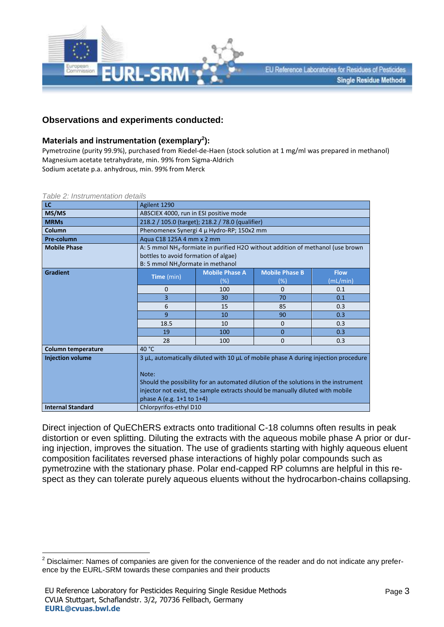

#### **Observations and experiments conducted:**

#### **Materials and instrumentation (exemplary<sup>2</sup> ):**

Pymetrozine (purity 99.9%), purchased from Riedel-de-Haen (stock solution at 1 mg/ml was prepared in methanol) Magnesium acetate tetrahydrate, min. 99% from Sigma-Aldrich Sodium acetate p.a. anhydrous, min. 99% from Merck

| LC                       | Agilent 1290                                                                                                                                                                                                                                                                                       |                                           |                                 |                         |
|--------------------------|----------------------------------------------------------------------------------------------------------------------------------------------------------------------------------------------------------------------------------------------------------------------------------------------------|-------------------------------------------|---------------------------------|-------------------------|
| MS/MS                    | ABSCIEX 4000, run in ESI positive mode                                                                                                                                                                                                                                                             |                                           |                                 |                         |
| <b>MRMs</b>              | 218.2 / 105.0 (target); 218.2 / 78.0 (qualifier)                                                                                                                                                                                                                                                   |                                           |                                 |                         |
| Column                   |                                                                                                                                                                                                                                                                                                    | Phenomenex Synergi 4 µ Hydro-RP; 150x2 mm |                                 |                         |
| Pre-column               | Agua C18 125A 4 mm x 2 mm                                                                                                                                                                                                                                                                          |                                           |                                 |                         |
| <b>Mobile Phase</b>      | A: 5 mmol $NH4$ -formiate in purified H2O without addition of methanol (use brown<br>bottles to avoid formation of algae)<br>B: 5 mmol NH <sub>4</sub> formate in methanol                                                                                                                         |                                           |                                 |                         |
| <b>Gradient</b>          | Time (min)                                                                                                                                                                                                                                                                                         | <b>Mobile Phase A</b><br>$(\%)$           | <b>Mobile Phase B</b><br>$(\%)$ | <b>Flow</b><br>(mL/min) |
|                          | $\mathbf 0$                                                                                                                                                                                                                                                                                        | 100                                       | $\Omega$                        | 0.1                     |
|                          | $\overline{3}$                                                                                                                                                                                                                                                                                     | 30                                        | 70                              | 0.1                     |
|                          | 6                                                                                                                                                                                                                                                                                                  | 15                                        | 85                              | 0.3                     |
|                          | 9                                                                                                                                                                                                                                                                                                  | 10                                        | 90                              | 0.3                     |
|                          | 18.5                                                                                                                                                                                                                                                                                               | 10                                        | $\mathbf 0$                     | 0.3                     |
|                          | 19                                                                                                                                                                                                                                                                                                 | 100                                       | $\Omega$                        | 0.3                     |
|                          | 28                                                                                                                                                                                                                                                                                                 | 100                                       | $\Omega$                        | 0.3                     |
| Column temperature       | 40 °C                                                                                                                                                                                                                                                                                              |                                           |                                 |                         |
| <b>Injection volume</b>  | 3 µL, automatically diluted with 10 µL of mobile phase A during injection procedure<br>Note:<br>Should the possibility for an automated dilution of the solutions in the instrument<br>injector not exist, the sample extracts should be manually diluted with mobile<br>phase A (e.g. 1+1 to 1+4) |                                           |                                 |                         |
| <b>Internal Standard</b> | Chlorpyrifos-ethyl D10                                                                                                                                                                                                                                                                             |                                           |                                 |                         |

*Table 2: Instrumentation details*

1

Direct injection of QuEChERS extracts onto traditional C-18 columns often results in peak distortion or even splitting. Diluting the extracts with the aqueous mobile phase A prior or during injection, improves the situation. The use of gradients starting with highly aqueous eluent composition facilitates reversed phase interactions of highly polar compounds such as pymetrozine with the stationary phase. Polar end-capped RP columns are helpful in this respect as they can tolerate purely aqueous eluents without the hydrocarbon-chains collapsing.

 $2$  Disclaimer: Names of companies are given for the convenience of the reader and do not indicate any preference by the EURL-SRM towards these companies and their products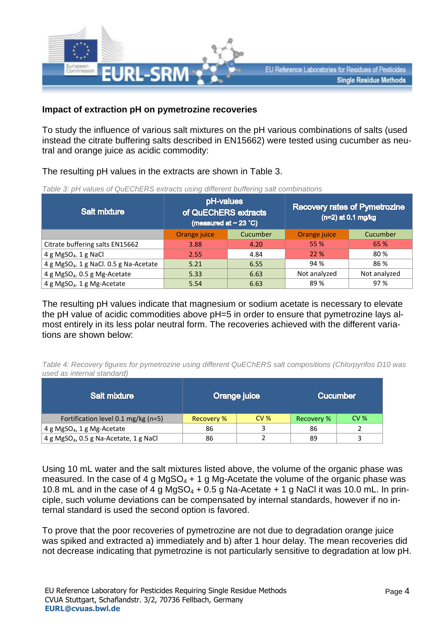

#### **Impact of extraction pH on pymetrozine recoveries**

To study the influence of various salt mixtures on the pH various combinations of salts (used instead the citrate buffering salts described in EN15662) were tested using cucumber as neutral and orange juice as acidic commodity:

The resulting pH values in the extracts are shown in Table 3.

| Table 3: pH values of QuEChERS extracts using different buffering salt combinations |
|-------------------------------------------------------------------------------------|

| <b>Salt mixture</b>                                | pH-values<br>of QuEChERS extracts<br>(measured at $\sim$ 23 °C) |          | <b>Recovery rates of Pymetrozine</b><br>$(n=2)$ at 0.1 mg/kg |              |
|----------------------------------------------------|-----------------------------------------------------------------|----------|--------------------------------------------------------------|--------------|
|                                                    | Orange juice                                                    | Cucumber | Orange juice                                                 | Cucumber     |
| Citrate buffering salts EN15662                    | 3.88                                                            | 4.20     | 55 %                                                         | 65 %         |
| 4 g MgSO <sub>4</sub> . 1 g NaCl                   | 2.55                                                            | 4.84     | 22 %                                                         | 80 %         |
| 4 g MgSO <sub>4</sub> . 1 g NaCl. 0.5 g Na-Acetate | 5.21                                                            | 6.55     | 94 %                                                         | 86 %         |
| 4 g MgSO <sub>4</sub> . 0.5 g Mg-Acetate           | 5.33                                                            | 6.63     | Not analyzed                                                 | Not analyzed |
| 4 g MgSO <sub>4</sub> . 1 g Mg-Acetate             | 5.54                                                            | 6.63     | 89%                                                          | 97 %         |

The resulting pH values indicate that magnesium or sodium acetate is necessary to elevate the pH value of acidic commodities above pH=5 in order to ensure that pymetrozine lays almost entirely in its less polar neutral form. The recoveries achieved with the different variations are shown below:

*Table 4: Recovery figures for pymetrozine using different QuEChERS salt compositions (Chlorpyrifos D10 was used as internal standard)*

| <b>Salt mixture</b>                                |            | Orange juice    |            | <b>Cucumber</b> |
|----------------------------------------------------|------------|-----------------|------------|-----------------|
| Fortification level 0.1 mg/kg (n=5)                | Recovery % | CV <sub>6</sub> | Recovery % | CV <sub>8</sub> |
| 4 g MgSO <sub>4</sub> , 1 g Mg-Acetate             | 86         |                 | 86         |                 |
| 4 g MgSO <sub>4</sub> , 0.5 g Na-Acetate, 1 g NaCl | 86         |                 | 89         |                 |

Using 10 mL water and the salt mixtures listed above, the volume of the organic phase was measured. In the case of 4 g MgSO<sub>4</sub> + 1 g Mg-Acetate the volume of the organic phase was 10.8 mL and in the case of 4 g MgSO<sub>4</sub> + 0.5 g Na-Acetate + 1 g NaCl it was 10.0 mL. In principle, such volume deviations can be compensated by internal standards, however if no internal standard is used the second option is favored.

To prove that the poor recoveries of pymetrozine are not due to degradation orange juice was spiked and extracted a) immediately and b) after 1 hour delay. The mean recoveries did not decrease indicating that pymetrozine is not particularly sensitive to degradation at low pH.